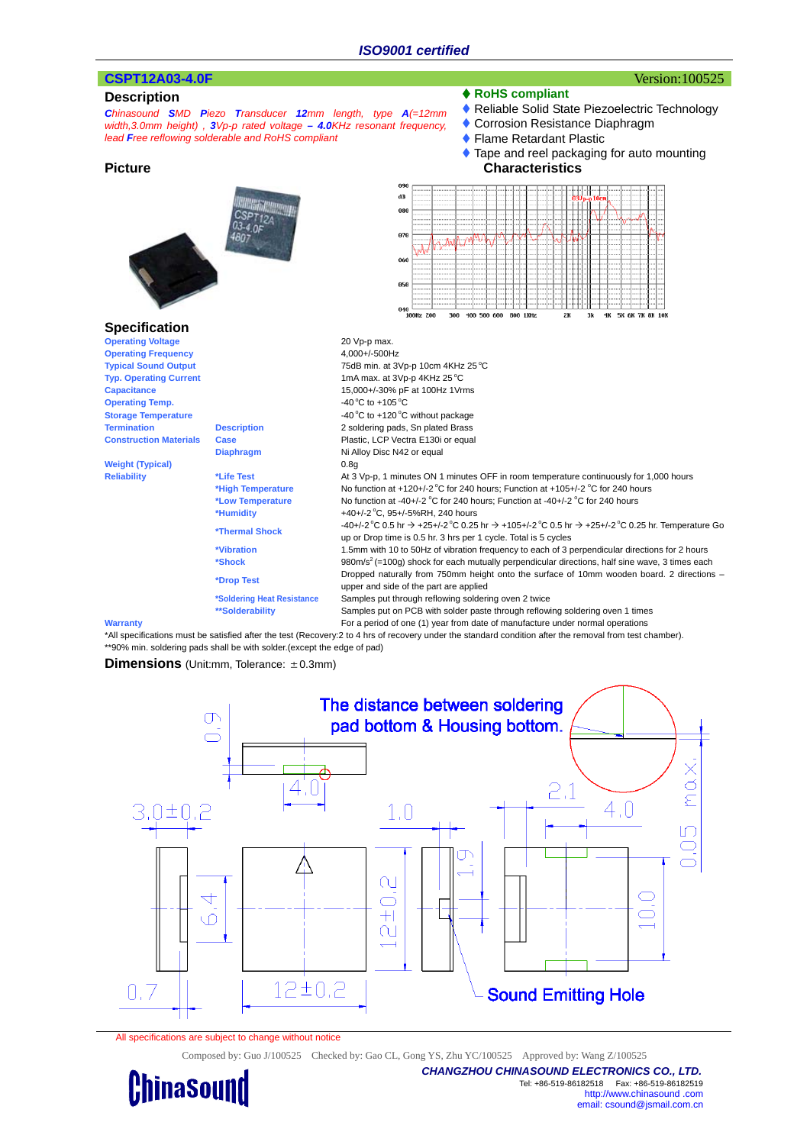$090$ 

## **CSPT12A03-4.0F** Version:100525

# **Description**

- ◆ RoHS compliant
- Reliable Solid State Piezoelectric Technology
- ◆ Corrosion Resistance Diaphragm
- ◆ Flame Retardant Plastic

◆ Tape and reel packaging for auto mounting Picture **Characteristics** 

| <b>Chinasound SMD Piezo Transducer 12mm length, type <math>A(=12</math>mm</b> |  |  |  |  |  |  |  |  |  |
|-------------------------------------------------------------------------------|--|--|--|--|--|--|--|--|--|
| width, 3.0mm height), $3Vp-p$ rated voltage $-$ 4.0KHz resonant frequency,    |  |  |  |  |  |  |  |  |  |
| lead Free reflowing solderable and RoHS compliant                             |  |  |  |  |  |  |  |  |  |

|                               |                                                                               | $\mathbf{dB}$<br>080                                                                                                                                                                                    |  |  |  |  |  |  |
|-------------------------------|-------------------------------------------------------------------------------|---------------------------------------------------------------------------------------------------------------------------------------------------------------------------------------------------------|--|--|--|--|--|--|
|                               |                                                                               | 070                                                                                                                                                                                                     |  |  |  |  |  |  |
|                               |                                                                               | 060                                                                                                                                                                                                     |  |  |  |  |  |  |
|                               |                                                                               | 850                                                                                                                                                                                                     |  |  |  |  |  |  |
|                               |                                                                               | 640<br>300<br>100 500 600<br>2K<br>3k<br>4K<br><b>5K 6K 7K 8K 10K</b><br>100Hz 200<br>800 1KHz                                                                                                          |  |  |  |  |  |  |
| <b>Specification</b>          |                                                                               |                                                                                                                                                                                                         |  |  |  |  |  |  |
| <b>Operating Voltage</b>      |                                                                               | 20 Vp-p max.                                                                                                                                                                                            |  |  |  |  |  |  |
| <b>Operating Frequency</b>    |                                                                               | 4,000+/-500Hz                                                                                                                                                                                           |  |  |  |  |  |  |
| <b>Typical Sound Output</b>   |                                                                               | 75dB min. at 3Vp-p 10cm 4KHz 25 °C                                                                                                                                                                      |  |  |  |  |  |  |
| <b>Typ. Operating Current</b> |                                                                               | 1mA max. at 3Vp-p 4KHz 25 °C                                                                                                                                                                            |  |  |  |  |  |  |
| <b>Capacitance</b>            |                                                                               | 15,000+/-30% pF at 100Hz 1Vrms                                                                                                                                                                          |  |  |  |  |  |  |
| <b>Operating Temp.</b>        |                                                                               | -40 °C to +105 °C                                                                                                                                                                                       |  |  |  |  |  |  |
| <b>Storage Temperature</b>    |                                                                               | -40 °C to +120 °C without package                                                                                                                                                                       |  |  |  |  |  |  |
| <b>Termination</b>            | <b>Description</b>                                                            | 2 soldering pads, Sn plated Brass                                                                                                                                                                       |  |  |  |  |  |  |
| <b>Construction Materials</b> | Case                                                                          | Plastic, LCP Vectra E130i or equal                                                                                                                                                                      |  |  |  |  |  |  |
|                               | <b>Diaphragm</b>                                                              | Ni Alloy Disc N42 or equal                                                                                                                                                                              |  |  |  |  |  |  |
| <b>Weight (Typical)</b>       |                                                                               | 0.8 <sub>g</sub>                                                                                                                                                                                        |  |  |  |  |  |  |
| <b>Reliability</b>            | *Life Test                                                                    | At 3 Vp-p, 1 minutes ON 1 minutes OFF in room temperature continuously for 1,000 hours                                                                                                                  |  |  |  |  |  |  |
|                               | *High Temperature                                                             | No function at +120+/-2 °C for 240 hours; Function at +105+/-2 °C for 240 hours                                                                                                                         |  |  |  |  |  |  |
|                               | *Low Temperature                                                              | No function at -40+/-2 °C for 240 hours; Function at -40+/-2 °C for 240 hours                                                                                                                           |  |  |  |  |  |  |
|                               | *Humidity                                                                     | +40+/-2 °C, 95+/-5%RH, 240 hours                                                                                                                                                                        |  |  |  |  |  |  |
|                               | <b>*Thermal Shock</b>                                                         | -40+/-2 °C 0.5 hr $\rightarrow$ +25+/-2 °C 0.25 hr $\rightarrow$ +105+/-2 °C 0.5 hr $\rightarrow$ +25+/-2 °C 0.25 hr. Temperature Go<br>up or Drop time is 0.5 hr. 3 hrs per 1 cycle. Total is 5 cycles |  |  |  |  |  |  |
|                               | *Vibration                                                                    | 1.5mm with 10 to 50Hz of vibration frequency to each of 3 perpendicular directions for 2 hours                                                                                                          |  |  |  |  |  |  |
|                               | *Shock                                                                        | $980 \text{m/s}^2$ (=100g) shock for each mutually perpendicular directions, half sine wave, 3 times each                                                                                               |  |  |  |  |  |  |
|                               | *Drop Test                                                                    | Dropped naturally from 750mm height onto the surface of 10mm wooden board. 2 directions -<br>upper and side of the part are applied                                                                     |  |  |  |  |  |  |
|                               | *Soldering Heat Resistance                                                    | Samples put through reflowing soldering oven 2 twice                                                                                                                                                    |  |  |  |  |  |  |
|                               | **Solderability                                                               | Samples put on PCB with solder paste through reflowing soldering oven 1 times                                                                                                                           |  |  |  |  |  |  |
| <b>Warranty</b>               | For a period of one (1) year from date of manufacture under normal operations |                                                                                                                                                                                                         |  |  |  |  |  |  |

\*All specifications must be satisfied after the test (Recovery:2 to 4 hrs of recovery under the standard condition after the removal from test chamber). \*\*90% min. soldering pads shall be with solder.(except the edge of pad)

**Dimensions** (Unit:mm, Tolerance: ±0.3mm)



All specifications are subject to change without notice

Composed by: Guo J/100525 Checked by: Gao CL, Gong YS, Zhu YC/100525 Approved by: Wang Z/100525

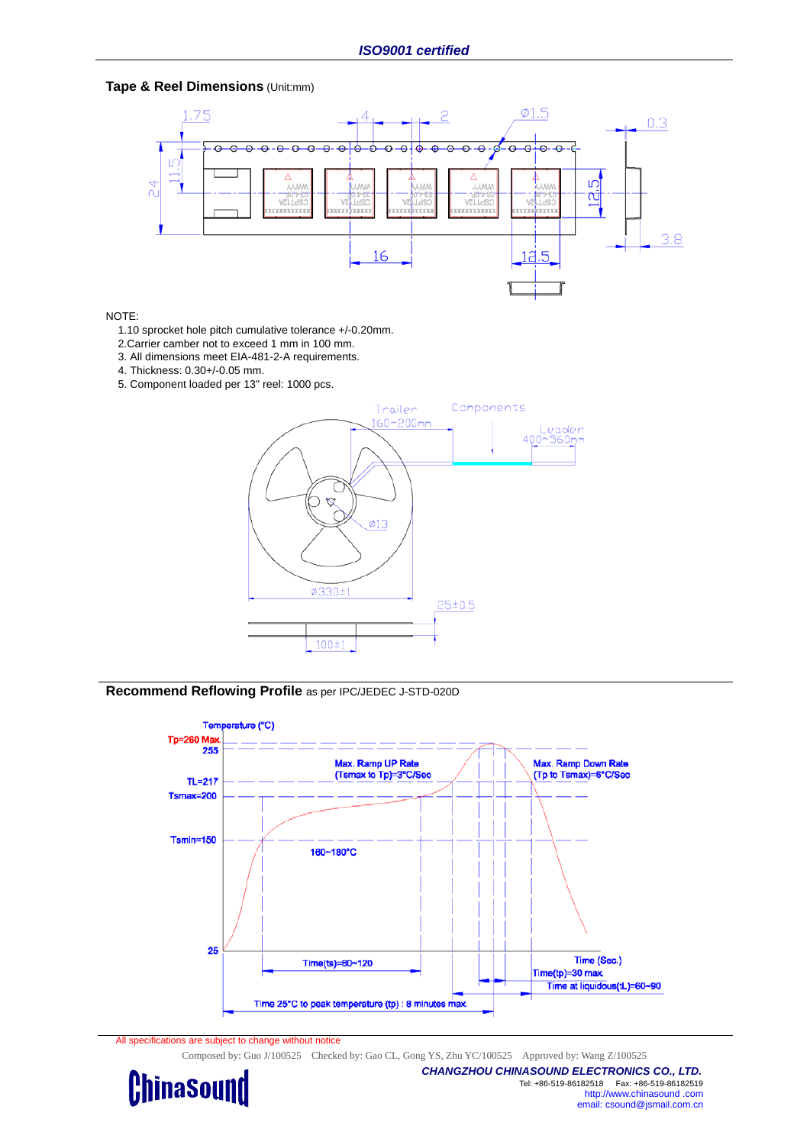# **Tape & Reel Dimensions** (Unit:mm)



### NOTE:

- 1.10 sprocket hole pitch cumulative tolerance +/-0.20mm.
- 2.Carrier camber not to exceed 1 mm in 100 mm.
- 3. All dimensions meet EIA-481-2-A requirements.
- 4. Thickness: 0.30+/-0.05 mm.
- 5. Component loaded per 13" reel: 1000 pcs.



## **Recommend Reflowing Profile** as per IPC/JEDEC J-STD-020D



All specifications are subject to change without notice

Composed by: Guo J/100525 Checked by: Gao CL, Gong YS, Zhu YC/100525 Approved by: Wang Z/100525